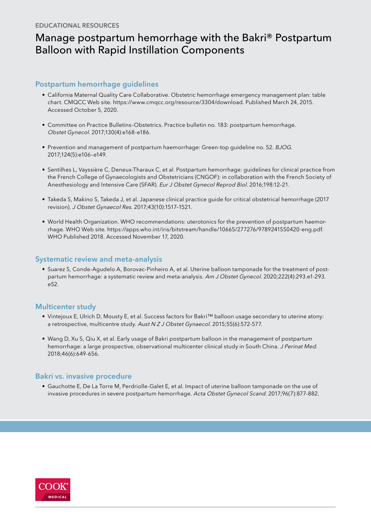# Manage postpartum hemorrhage with the Bakri® Postpartum Balloon with Rapid Instillation Components

## Postpartum hemorrhage guidelines

- [California Maternal Quality Care Collaborative. Obstetric hemorrhage emergency management plan: table](https://www.cmqcc.org/content/obstetric-hemorrhage-emergency-management-plan-table-chart)  [chart. CMQCC Web site. https://www.cmqcc.org/resource/3304/download. Published March 24, 2015.](https://www.cmqcc.org/content/obstetric-hemorrhage-emergency-management-plan-table-chart)  [Accessed October 5, 2020.](https://www.cmqcc.org/content/obstetric-hemorrhage-emergency-management-plan-table-chart)
- [Committee on Practice Bulletins–Obstetrics. Practice bulletin no. 183: postpartum hemorrhage.](https://pubmed.ncbi.nlm.nih.gov/28937571/) Obstet Gynecol. [2017;130\(4\):e168-e186.](https://pubmed.ncbi.nlm.nih.gov/28937571/)
- [Prevention and management of postpartum haemorrhage: Green-top guideline no. 52.](https://obgyn.onlinelibrary.wiley.com/doi/epdf/10.1111/1471-0528.14178) BJOG. [2017;124\(5\):e106–e149.](https://obgyn.onlinelibrary.wiley.com/doi/epdf/10.1111/1471-0528.14178)
- [Sentilhes L, Vayssière C, Deneux-Tharaux C, et al. Postpartum hemorrhage: guidelines for clinical practice from](https://pubmed.ncbi.nlm.nih.gov/26773243/)  [the French College of Gynaecologists and Obstetricians \(CNGOF\): in collaboration with the French Society of](https://pubmed.ncbi.nlm.nih.gov/26773243/)  [Anesthesiology and Intensive Care \(SFAR\).](https://pubmed.ncbi.nlm.nih.gov/26773243/) Eur J Obstet Gynecol Reprod Biol. 2016;198:12–21.
- [Takeda S, Makino S, Takeda J, et al. Japanese clinical practice guide for critical obstetrical hemorrhage \(2017](https://pubmed.ncbi.nlm.nih.gov/28737252/)  revision). J Obstet Gynaecol Res[. 2017;43\(10\):1517–1521.](https://pubmed.ncbi.nlm.nih.gov/28737252/)
- [World Health Organization. WHO recommendations: uterotonics for the prevention of postpartum haemor](https://apps.who.int/iris/bitstream/handle/10665/277276/9789241550420-eng.pdf)[rhage. WHO Web site. https://apps.who.int/iris/bitstream/handle/10665/277276/9789241550420-eng.pdf.](https://apps.who.int/iris/bitstream/handle/10665/277276/9789241550420-eng.pdf)  [WHO Published 2018. Accessed November 17, 2020.](https://apps.who.int/iris/bitstream/handle/10665/277276/9789241550420-eng.pdf)

## Systematic review and meta-analysis

• [Suarez S, Conde-Agudelo A, Borovac-Pinheiro A, et al. Uterine balloon tamponade for the treatment of post](https://pubmed.ncbi.nlm.nih.gov/31917139/)[partum hemorrhage: a systematic review and meta-analysis.](https://pubmed.ncbi.nlm.nih.gov/31917139/) Am J Obstet Gynecol. 2020;222(4):293.e1-293. [e52.](https://pubmed.ncbi.nlm.nih.gov/31917139/)

## Multicenter study

- [Vintejoux E, Ulrich D, Mousty E, et al. Success factors for Bakri™ balloon usage secondary to uterine atony:](https://pubmed.ncbi.nlm.nih.gov/26223852/)  [a retrospective, multicentre study.](https://pubmed.ncbi.nlm.nih.gov/26223852/) Aust N Z J Obstet Gynaecol. 2015;55(6):572-577.
- [Wang D, Xu S, Qiu X, et al. Early usage of Bakri postpartum balloon in the management of postpartum](https://pubmed.ncbi.nlm.nih.gov/29252201/)  [hemorrhage: a large prospective, observational multicenter clinical study in South China.](https://pubmed.ncbi.nlm.nih.gov/29252201/) J Perinat Med. [2018;46\(6\):649-656.](https://pubmed.ncbi.nlm.nih.gov/29252201/)

# Bakri vs. invasive procedure

• [Gauchotte E, De La Torre M, Perdriolle-Galet E, et al. Impact of uterine balloon tamponade on the use of](https://pubmed.ncbi.nlm.nih.gov/28295136/)  [invasive procedures in severe postpartum hemorrhage.](https://pubmed.ncbi.nlm.nih.gov/28295136/) Acta Obstet Gynecol Scand. 2017;96(7):877-882.